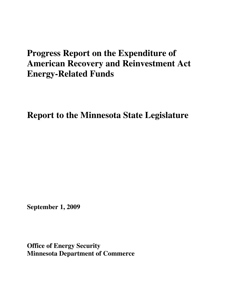# **Progress Report on the Expenditure of American Recovery and Reinvestment Act Energy-Related Funds**

**Report to the Minnesota State Legislature** 

**September 1, 2009** 

**Office of Energy Security Minnesota Department of Commerce**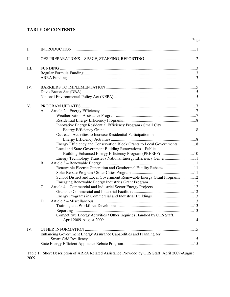## **TABLE OF CONTENTS**

| I.   |                                                                                                                                                                                                                                                                                          |  |
|------|------------------------------------------------------------------------------------------------------------------------------------------------------------------------------------------------------------------------------------------------------------------------------------------|--|
| Π.   |                                                                                                                                                                                                                                                                                          |  |
| III. |                                                                                                                                                                                                                                                                                          |  |
| IV.  |                                                                                                                                                                                                                                                                                          |  |
| V.   | A.<br>Innovative Energy Residential Efficiency Program / Small City<br>Outreach Activities to Increase Residential Participation in<br>Energy Efficiency and Conservation Block Grants to Local Governments  8                                                                           |  |
|      | Local and State Government Building Renovations - Public<br>Energy Technology Transfer / National Energy Efficiency Center 11<br><b>B.</b><br>Renewable Electric Generation and Geothermal Facility Rebates11<br>School District and Local Government Renewable Energy Grant Programs 12 |  |
|      | C.<br>D.<br>Reporting<br>Competitive Energy Activities / Other Inquiries Handled by OES Staff,                                                                                                                                                                                           |  |
| IV.  | Enhancing Government Energy Assurance Capabilities and Planning for                                                                                                                                                                                                                      |  |

Page

Table 1: Short Description of ARRA Related Assistance Provided by OES Staff, April 2009-August 2009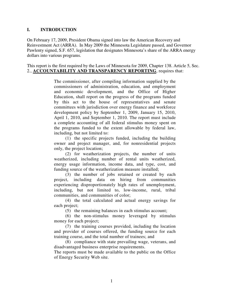#### **I. INTRODUCTION**

On February 17, 2009, President Obama signed into law the American Recovery and Reinvestment Act (ARRA). In May 2009 the Minnesota Legislature passed, and Governor Pawlenty signed, S.F. 657, legislation that designates Minnesota's share of the ARRA energy dollars into various programs.

This report is the first required by the Laws of Minnesota for 2009, Chapter 138. Article 5, Sec. 2., **ACCOUNTABILITY AND TRANSPARENCY REPORTING**, requires that:

> The commissioner, after compiling information supplied by the commissioners of administration, education, and employment and economic development, and the Office of Higher Education, shall report on the progress of the programs funded by this act to the house of representatives and senate committees with jurisdiction over energy finance and workforce development policy by September 1, 2009, January 15, 2010, April 1, 2010, and September 1, 2010. The report must include a complete accounting of all federal stimulus money spent on the programs funded to the extent allowable by federal law, including, but not limited to:

> (1) the specific projects funded, including the building owner and project manager, and, for nonresidential projects only, the project location;

> (2) for weatherization projects, the number of units weatherized, including number of rental units weatherized, energy usage information, income data, and type, cost, and funding source of the weatherization measure installed;

> (3) the number of jobs retained or created by each project, including data on hiring from communities experiencing disproportionately high rates of unemployment, including, but not limited to, low-income, rural, tribal communities, and communities of color;

> (4) the total calculated and actual energy savings for each project;

(5) the remaining balances in each stimulus account;

(6) the non-stimulus money leveraged by stimulus money for each project;

(7) the training courses provided, including the location and provider of courses offered, the funding source for each training course, and the total number of trainees; and

(8) compliance with state prevailing wage, veterans, and disadvantaged business enterprise requirements.

The reports must be made available to the public on the Office of Energy Security Web site.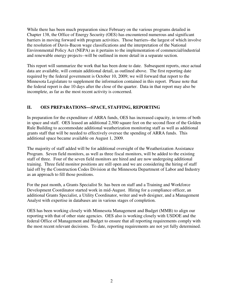While there has been much preparation since February on the various programs detailed in Chapter 138, the Office of Energy Security (OES) has encountered numerous and significant barriers in moving forward with program activities. Those barriers--the largest of which involve the resolution of Davis-Bacon wage classifications and the interpretation of the National Environmental Policy Act (NEPA) as it pertains to the implementation of commercial/industrial and renewable energy projects--will be outlined in more detail in a separate section.

This report will summarize the work that has been done to date. Subsequent reports, once actual data are available, will contain additional detail, as outlined above. The first reporting date required by the federal government is October 10, 2009; we will forward that report to the Minnesota Legislature to supplement the information contained in this report. Please note that the federal report is due 10 days after the close of the quarter. Data in that report may also be incomplete, as far as the most recent activity is concerned.

## **II. OES PREPARATIONS—SPACE, STAFFING, REPORTING**

In preparation for the expenditure of ARRA funds, OES has increased capacity, in terms of both in space and staff. OES leased an additional 2,500 square feet on the second floor of the Golden Rule Building to accommodate additional weatherization monitoring staff as well as additional grants staff that will be needed to effectively oversee the spending of ARRA funds. This additional space became available on August 1, 2009.

The majority of staff added will be for additional oversight of the Weatherization Assistance Program. Seven field monitors, as well as three fiscal monitors, will be added to the existing staff of three. Four of the seven field monitors are hired and are now undergoing additional training. Three field monitor positions are still open and we are considering the hiring of staff laid off by the Construction Codes Division at the Minnesota Department of Labor and Industry as an approach to fill those positions.

For the past month, a Grants Specialist Sr. has been on staff and a Training and Workforce Development Coordinator started work in mid-August. Hiring for a compliance officer, an additional Grants Specialist, a Utility Coordinator, writer and web designer, and a Management Analyst with expertise in databases are in various stages of completion.

OES has been working closely with Minnesota Management and Budget (MMB) to align our reporting with that of other state agencies. OES also is working closely with USDOE and the federal Office of Management and Budget to ensure that all reporting requirements comply with the most recent relevant decisions. To date, reporting requirements are not yet fully determined.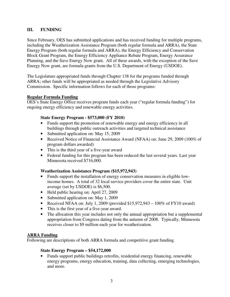## **III. FUNDING**

Since February, OES has submitted applications and has received funding for multiple programs, including the Weatherization Assistance Program (both regular formula and ARRA), the State Energy Program (both regular formula and ARRA), the Energy Efficiency and Conservation Block Grant Program, the Energy Efficiency Appliance Rebate Program, Energy Assurance Planning, and the Save Energy Now grant. All of these awards, with the exception of the Save Energy Now grant, are formula grants from the U.S. Department of Energy (USDOE).

The Legislature appropriated funds through Chapter 138 for the programs funded through ARRA; other funds will be appropriated as needed through the Legislative Advisory Commission. Specific information follows for each of those programs:

#### **Regular Formula Funding**

OES's State Energy Office receives program funds each year ("regular formula funding") for ongoing energy efficiency and renewable energy activities.

#### **State Energy Program - \$573,000 (FY 2010)**

- Funds support the promotion of renewable energy and energy efficiency in all buildings through public outreach activities and targeted technical assistance
- Submitted application on: May 15, 2009
- Received Notice of Financial Assistance Award (NFAA) on: June 29, 2009 (100% of program dollars awarded)
- This is the third year of a five-year award
- Federal funding for this program has been reduced the last several years. Last year Minnesota received \$716,000.

#### **Weatherization Assistance Program (\$15,972,943)**

- Funds support the installation of energy conservation measures in eligible lowincome homes. A total of 32 local service providers cover the entire state. Unit average (set by USDOE) is \$6,500.
- Held public hearing on: April 27, 2009
- Submitted application on: May 1, 2009
- Received NFAA on: July 1, 2009 (provided  $$15,972,943 100\%$  of FY10 award)
- This is the first year of a five-year award.
- The allocation this year includes not only the annual appropriation but a supplemental appropriation from Congress dating from the autumn of 2008. Typically, Minnesota receives closer to \$9 million each year for weatherization.

#### **ARRA Funding**

Following are descriptions of both ARRA formula and competitive grant funding.

#### **State Energy Program – \$54,172,000**

• Funds support public buildings retrofits, residential energy financing, renewable energy programs, energy education, training, data collecting, emerging technologies, and more.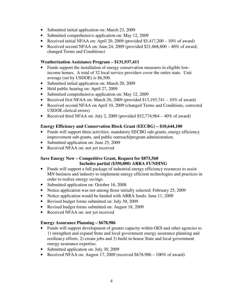- Submitted initial application on: March 23, 2009
- Submitted comprehensive application on: May 12, 2009
- Received initial NFAA on: April 20, 2009 (provided  $$5,417,200 10\%$  of award)
- Received second NFAA on: June 24, 2009 (provided  $$21,668,800 40\%$  of award; changed Terms and Conditions)

## **Weatherization Assistance Program – \$131,937,411**

- Funds support the installation of energy conservation measures in eligible lowincome homes. A total of 32 local service providers cover the entire state. Unit average (set by USDOE) is \$6,500.
- Submitted initial application on: March 20, 2009
- Held public hearing on: April 27, 2009
- Submitted comprehensive application on: May 12, 2009
- Received first NFAA on: March 26, 2009 (provided  $$13,193,741 10\%$  of award)
- Received second NFAA on April 10, 2009 (changed Terms and Conditions, corrected USDOE clerical errors)
- Received third NFAA on: July 2, 2009 (provided  $$52,774,964 40\%$  of award)

## **Energy Efficiency and Conservation Block Grant (EECBG) – \$10,644,100**

- Funds will support three activities: mandatory EECBG sub-grants, energy efficiency improvement sub-grants, and public outreach/program administration.
- Submitted application on: June 25, 2009
- Received NFAA on: not yet received

## **Save Energy Now – Competitive Grant, Request for \$875,568 Includes partial (\$350,000) ARRA FUNDING**

- Funds will support a full package of industrial energy efficiency resources to assist MN business and industry to implement energy efficient technologies and practices in order to realize energy savings.
- Submitted application on: October 16, 2008
- Notice application was not among those initially selected: February 25, 2009
- Notice application would be funded with ARRA funds: June 11, 2009
- Revised budget forms submitted on: July 30, 2009
- Revised budget forms submitted on: August 18, 2009
- Received NFAA on: not yet received

## **Energy Assurance Planning – \$678,986**

- Funds will support development of greater capacity within OES and other agencies to 1) strengthen and expand State and local government energy assurance planning and resiliency efforts, 2) create jobs and 3) build in-house State and local government energy assurance expertise.
- Submitted application on: July 30, 2009
- Received NFAA on: August 17, 2009 (received  $$678,986 100\%$  of award)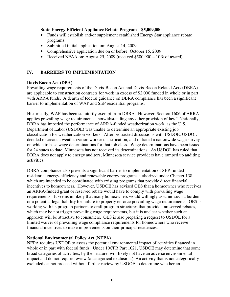#### **State Energy Efficient Appliance Rebate Program – \$5,009,000**

- Funds will establish and/or supplement established Energy Star appliance rebate programs.
- Submitted initial application on: August 14, 2009
- Comprehensive application due on or before: October 15, 2009
- Received NFAA on: August 25, 2009 (received  $$500,900 10\%$  of award)

## **IV. BARRIERS TO IMPLEMENTATION**

#### **Davis Bacon Act (DBA)**

Prevailing wage requirements of the Davis-Bacon Act and Davis-Bacon Related Acts (DBRA) are applicable to construction contracts for work in excess of \$2,000 funded in whole or in part with ARRA funds. A dearth of federal guidance on DBRA compliance has been a significant barrier to implementation of WAP and SEP residential programs.

Historically, WAP has been statutorily exempt from DBRA. However, Section 1606 of ARRA applies prevailing wage requirements "notwithstanding any other provision of law." Nationally, DBRA has impeded the performance of ARRA-funded weatherization work, as the U.S. Department of Labor (USDOL) was unable to determine an appropriate existing job classification for weatherization workers. After protracted discussions with USDOE, USDOL decided to create a weatherization worker classification, and initiated a nationwide wage survey on which to base wage determinations for that job class. Wage determinations have been issued for 24 states to date; Minnesota has not received its determinations. As USDOL has ruled that DBRA does not apply to energy auditors, Minnesota service providers have ramped up auditing activities.

DBRA compliance also presents a significant barrier to implementation of SEP-funded residential energy-efficiency and renewable energy programs authorized under Chapter 138 which are intended to be coordinated with existing programs that provide direct financial incentives to homeowners. However, USDOE has advised OES that a homeowner who receives an ARRA-funded grant or reserved rebate would have to comply with prevailing wage requirements. It seems unlikely that many homeowners would willingly assume such a burden or a potential legal liability for failure to properly enforce prevailing wage requirements. OES is working with its program partners to craft program structures that provide unreserved rebates, which may be not trigger prevailing wage requirements, but it is unclear whether such an approach will be attractive to consumers. OES is also preparing a request to USDOL for a limited waiver of prevailing wage compliance requirements for homeowners who receive financial incentives to make improvements on their principal residences.

## **National Environmental Policy Act (NEPA)**

NEPA requires USDOE to assess the potential environmental impact of activities financed in whole or in part with federal funds. Under 10CFR Part 1021, USDOE may determine that some broad categories of activities, by their nature, will likely not have an adverse environmental impact and do not require review (a categorical exclusion.) An activity that is not categorically excluded cannot proceed without further review by USDOE to determine whether an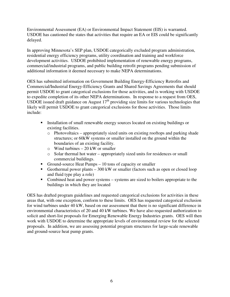Environmental Assessment (EA) or Environmental Impact Statement (EIS) is warranted. USDOE has cautioned the states that activities that require an EA or EIS could be significantly delayed.

In approving Minnesota's SEP plan, USDOE categorically excluded program administration, residential energy efficiency programs, utility coordination and training and workforce development activities. USDOE prohibited implementation of renewable energy programs, commercial/industrial programs, and public building retrofit programs pending submission of additional information it deemed necessary to make NEPA determinations.

OES has submitted information on Government Building Energy-Efficiency Retrofits and Commercial/Industrial Energy-Efficiency Grants and Shared Savings Agreements that should permit USDOE to grant categorical exclusions for those activities, and is working with USDOE to expedite completion of its other NEPA determinations. In response to a request from OES, USDOE issued draft guidance on August  $17<sup>th</sup>$  providing size limits for various technologies that likely will permit USDOE to grant categorical exclusions for those activities. Those limits include:

- Installation of small renewable energy sources located on existing buildings or existing facilities.
	- o Photovoltaics appropriately sized units on existing rooftops and parking shade structures; or 60kW systems or smaller installed on the ground within the boundaries of an existing facility.
	- $\circ$  Wind turbines 20 kW or smaller
	- o Solar thermal hot water appropriately sized units for residences or small commercial buildings.
- Ground-source Heat Pumps 10 tons of capacity or smaller
- Geothermal power plants  $-300 \text{ kW}$  or smaller (factors such as open or closed loop and fluid type play a role)
- Combined heat and power systems systems are sized to boilers appropriate to the buildings in which they are located

OES has drafted program guidelines and requested categorical exclusions for activities in these areas that, with one exception, conform to these limits. OES has requested categorical exclusion for wind turbines under 40 kW, based on our assessment that there is no significant difference in environmental characteristics of 20 and 40 kW turbines. We have also requested authorization to solicit and short-list proposals for Emerging Renewable Energy Industries grants. OES will then work with USDOE to determine the appropriate levels of environmental review for the selected proposals. In addition, we are assessing potential program structures for large-scale renewable and ground-source heat pump grants.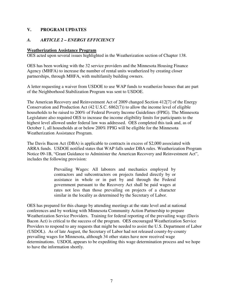## **V. PROGRAM UPDATES**

## *A. ARTICLE 2 – ENERGY EFFICIENCY*

#### **Weatherization Assistance Program**

OES acted upon several issues highlighted in the Weatherization section of Chapter 138.

OES has been working with the 32 service providers and the Minnesota Housing Finance Agency (MHFA) to increase the number of rental units weatherized by creating closer partnerships, through MHFA, with multifamily building owners.

A letter requesting a waiver from USDOE to use WAP funds to weatherize houses that are part of the Neighborhood Stabilization Program was sent to USDOE.

The American Recovery and Reinvestment Act of 2009 changed Section 412[7] of the Energy Conservation and Production Act (42 U.S.C. 6862(7)) to allow the income level of eligible households to be raised to 200% of Federal Poverty Income Guidelines (FPIG). The Minnesota Legislature also required OES to increase the income eligibility limits for participants to the highest level allowed under federal law was addressed. OES completed this task and, as of October 1, all households at or below 200% FPIG will be eligible for the Minnesota Weatherization Assistance Program.

The Davis Bacon Act (DBA) is applicable to contracts in excess of \$2,000 associated with ARRA funds. USDOE notified states that WAP falls under DBA rules. Weatherization Program Notice 09-1B, "Grant Guidance to Administer the American Recovery and Reinvestment Act", includes the following provision:

> Prevailing Wages: All laborers and mechanics employed by contractors and subcontractors on projects funded directly by or assistance in whole or in part by and through the Federal government pursuant to the Recovery Act shall be paid wages at rates not less than those prevailing on projects of a character similar in the locality as determined by the Secretary of Labor.

OES has prepared for this change by attending meetings at the state level and at national conferences and by working with Minnesota Community Action Partnership to prepare Weatherization Service Providers. Training for federal reporting of the prevailing wage (Davis Bacon Act) is critical to the success of the program. OES encouraged Weatherization Service Providers to respond to any requests that might be needed to assist the U.S. Department of Labor (USDOL). As of late August, the Secretary of Labor had not released county-by-county prevailing wages for Minnesota, although 34 other states have now received wage determinations. USDOL appears to be expediting this wage determination process and we hope to have the information shortly.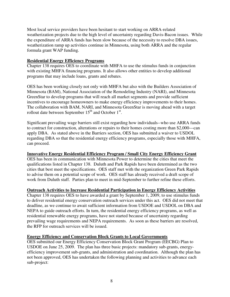Most local service providers have been hesitant to start working on ARRA-related weatherization projects due to the high level of uncertainty regarding Davis-Bacon issues. While the expenditure of ARRA funds has been slow because of the necessity to resolve DBA issues, weatherization ramp up activities continue in Minnesota, using both ARRA and the regular formula grant WAP funding.

## **Residential Energy Efficiency Programs**

Chapter 138 requires OES to coordinate with MHFA to use the stimulus funds in conjunction with existing MHFA financing programs. It also allows other entities to develop additional programs that may include loans, grants and rebates.

OES has been working closely not only with MHFA but also with the Builders Association of Minnesota (BAM), National Association of the Remodeling Industry (NARI), and Minnesota GreenStar to develop programs that will reach all market segments and provide sufficient incentives to encourage homeowners to make energy efficiency improvements to their homes. The collaboration with BAM, NARI, and Minnesota GreenStar is moving ahead with a target rollout date between September  $15<sup>th</sup>$  and October  $1<sup>st</sup>$ .

Significant prevailing wage barriers still exist regarding how individuals--who use ARRA funds to contract for construction, alterations or repairs to their homes costing more than \$2,000—can apply DBA. As stated above in the Barriers section, OES has submitted a waiver to USDOL regarding DBA so that the residential energy efficiency programs, especially those with MHFA, can proceed.

## **Innovative Energy Residential Efficiency Program / Small City Energy Efficiency Grant**

OES has been in communication with Minnesota Power to determine the cities that meet the qualifications listed in Chapter 138. Duluth and Park Rapids have been determined as the two cities that best meet the specifications. OES staff met with the organization Green Park Rapids to advise them on a potential scope of work. OES staff has already received a draft scope of work from Duluth staff. Parties plan to meet in mid-September to further refine these efforts.

## **Outreach Activities to Increase Residential Participation in Energy Efficiency Activities**

Chapter 138 requires OES to have awarded a grant by September 1, 2009, to use stimulus funds to deliver residential energy conservation outreach services under this act. OES did not meet that deadline, as we continue to await sufficient information from USDOE and USDOL on DBA and NEPA to guide outreach efforts. In turn, the residential energy efficiency programs, as well as residential renewable energy programs, have not started because of uncertainty regarding prevailing wage requirements and NEPA requirements. As soon as these barriers are resolved, the RFP for outreach services will be issued.

## **Energy Efficiency and Conservation Block Grants to Local Governments**

OES submitted our Energy Efficiency Conservation Block Grant Program (EECBG) Plan to USDOE on June 25, 2009. The plan has three basic projects: mandatory sub-grants, energyefficiency improvement sub-grants, and administration and coordination. Although the plan has not been approved, OES has undertaken the following planning and activities to advance each sub-project: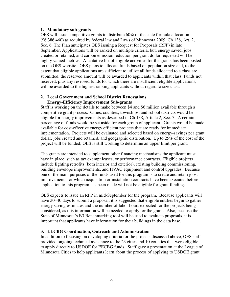#### **1. Mandatory sub-grants**

OES will issue competitive grants to distribute 60% of the state formula allocation (\$6,386,460) as required by federal law and Laws of Minnesota 2009, Ch 138, Art. 2, Sec. 6. The Plan anticipates OES issuing a Request for Proposals (RFP) in late September. Applications will be ranked on multiple criteria, but, energy saved, jobs created or retained, and carbon emission reduction per grant dollar requested will be highly valued metrics. A tentative list of eligible activities for the grants has been posted on the OES website. OES plans to allocate funds based on population size and, to the extent that eligible applications are sufficient to utilize all funds allocated to a class are submitted, the reserved amount will be awarded to applicants within that class. Funds not reserved, plus any reserved funds for which there are insufficient eligible applications, will be awarded to the highest ranking applicants without regard to size class.

#### **2. Local Government and School District Renovations Energy-Efficiency Improvement Sub-grants**

Staff is working on the details to make between \$4 and \$6 million available through a competitive grant process. Cities, counties, townships, and school districts would be eligible for energy improvements as described in Ch 138, Article 2, Sec. 7. A certain percentage of funds would be set aside for each group of applicant. Grants would be made available for cost-effective energy efficient projects that are ready for immediate implementation. Projects will be evaluated and selected based on energy-savings per grant dollar, jobs created and retained, and geographic distribution. Up to 25% of the cost of the project will be funded; OES is still working to determine an upper limit per grant.

The grants are intended to supplement other financing mechanisms the applicant must have in place, such as tax exempt leases, or performance contracts. Eligible projects include lighting retrofits (both interior and exterior), existing building commissioning, building envelope improvements, and HVAC equipment and control upgrades. Because one of the main purposes of the funds used for this program is to create and retain jobs, improvements for which acquisition or installation contracts have been executed before application to this program has been made will not be eligible for grant funding.

OES expects to issue an RFP in mid-September for the program. Because applicants will have 30–40 days to submit a proposal, it is suggested that eligible entities begin to gather energy saving estimates and the number of labor hours expected for the projects being considered, as this information will be needed to apply for the grants. Also, because the State of Minnesota's B3 Benchmarking tool will be used to evaluate proposals, it is important that applicants have information for their buildings in the data base.

#### **3. EECBG Coordination, Outreach and Administration**

In addition to focusing on developing criteria for the projects discussed above, OES staff provided ongoing technical assistance to the 23 cities and 10 counties that were eligible to apply directly to USDOE for EECBG funds. Staff gave a presentation at the League of Minnesota Cities to help applicants learn about the process of applying to USDOE grant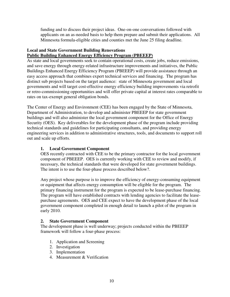funding and to discuss their project ideas. One-on-one conversations followed with applicants on an as-needed basis to help them prepare and submit their applications. All Minnesota formula-eligible cities and counties met the June 25 filing deadline.

## **Local and State Government Building Renovations**

## **Public Building Enhanced Energy Efficiency Program (PBEEEP)**

As state and local governments seek to contain operational costs, create jobs, reduce emissions, and save energy through energy-related infrastructure improvements and initiatives, the Public Buildings Enhanced Energy Efficiency Program (PBEEEP) will provide assistance through an easy access approach that combines expert technical services and financing. The program has distinct sub projects based on the target audience: state of Minnesota government and local governments and will target cost-effective energy efficiency building improvements via retrofit or retro-commissioning opportunities and will offer private capital at interest rates comparable to rates on tax-exempt general obligation bonds.

The Center of Energy and Environment (CEE) has been engaged by the State of Minnesota, Department of Administration, to develop and administer PBEEEP for state government buildings and will also administer the local government component for the Office of Energy Security (OES). Key deliverables for the development phase of the program include providing technical standards and guidelines for participating consultants, and providing energy engineering services in addition to administrative structures, tools, and documents to support roll out and scale up efforts.

## **1. Local Government Component**

OES recently contracted with CEE to be the primary contractor for the local government component of PBEEEP. OES is currently working with CEE to review and modify, if necessary, the technical standards that were developed for state government buildings. The intent is to use the four-phase process described below?.

Any project whose purpose is to improve the efficiency of energy-consuming equipment or equipment that affects energy consumption will be eligible for the program. The primary financing instrument for the program is expected to be lease-purchase financing. The program will have established contracts with lending agencies to facilitate the leasepurchase agreements. OES and CEE expect to have the development phase of the local government component completed in enough detail to launch a pilot of the program in early 2010.

## **2. State Government Component**

The development phase is well underway; projects conducted within the PBEEEP framework will follow a four-phase process:

- 1. Application and Screening
- 2. Investigation
- 3. Implementation
- 4. Measurement & Verification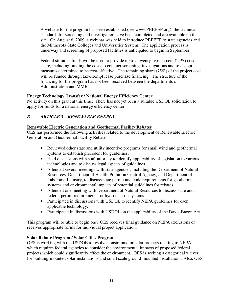A website for the program has been established (see www.PBEEEP.org); the technical standards for screening and investigation have been completed and are available on the site. On August 6, 2009, a webinar was held to introduce PBEEEP to state agencies and the Minnesota State Colleges and Universities System. The application process is underway and screening of proposed facilities is anticipated to begin in September.

Federal stimulus funds will be used to provide up to a twenty-five percent (25%) cost share, including funding the costs to conduct screening, investigations and to design measures determined to be cost-effective. The remaining share (75%) of the project cost will be funded through tax-exempt lease purchase financing. The structure of the financing for the program has not been resolved between the departments of Administration and MMB.

## **Energy Technology Transfer / National Energy Efficiency Center**

No activity on this grant at this time. There has not yet been a suitable USDOE solicitation to apply for funds for a national energy efficiency center.

## *B. ARTICLE 3 – RENEWABLE ENERGY*

## **Renewable Electric Generation and Geothermal Facility Rebates**

OES has performed the following activities related to the development of Renewable Electric Generation and Geothermal Facility Rebates:

- Reviewed other state and utility incentive programs for small wind and geothermal systems to establish precedent for guidelines.
- Held discussions with staff attorney to identify applicability of legislation to various technologies and to discuss legal aspects of guidelines.
- Attended several meetings with state agencies, including the Department of Natural Resources, Department of Health, Pollution Control Agency, and Department of Labor and Industry, to discuss state permit and code requirements for geothermal systems and environmental impacts of potential guidelines for rebates.
- Attended one meeting with Department of Natural Resources to discuss state and federal permit requirements for hydroelectric systems.
- Participated in discussions with USDOE to identify NEPA guidelines for each applicable technology.
- Participated in discussions with USDOL on the applicability of the Davis-Bacon Act.

This program will be able to begin once OES receives final guidance on NEPA exclusions or receives appropriate forms for individual project application.

## **Solar Rebate Program / Solar Cities Program**

OES is working with the USDOE to resolve constraints for solar projects relating to NEPA which requires federal agencies to consider the environmental impacts of proposed federal projects which could significantly affect the environment. OES is seeking a categorical waiver for building-mounted solar installations and small scale ground-mounted installations. Also, OES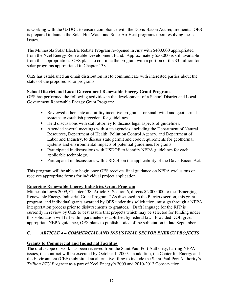is working with the USDOL to ensure compliance with the Davis-Bacon Act requirements. OES is prepared to launch the Solar Hot Water and Solar Air Heat programs upon resolving these issues.

The Minnesota Solar Electric Rebate Program re-opened in July with \$400,000 appropriated from the Xcel Energy Renewable Development Fund. Approximately \$50,000 is still available from this appropriation. OES plans to continue the program with a portion of the \$3 million for solar programs appropriated in Chapter 138.

OES has established an email distribution list to communicate with interested parties about the status of the proposed solar programs.

## **School District and Local Government Renewable Energy Grant Programs**

OES has performed the following activities in the development of a School District and Local Government Renewable Energy Grant Program:

- Reviewed other state and utility incentive programs for small wind and geothermal systems to establish precedent for guidelines.
- Held discussions with staff attorney to discuss legal aspects of guidelines.
- Attended several meetings with state agencies, including the Department of Natural Resources, Department of Health, Pollution Control Agency, and Department of Labor and Industry, to discuss state permit and code requirements for geothermal systems and environmental impacts of potential guidelines for grants.
- Participated in discussions with USDOE to identify NEPA guidelines for each applicable technology.
- Participated in discussions with USDOL on the applicability of the Davis-Bacon Act.

This program will be able to begin once OES receives final guidance on NEPA exclusions or receives appropriate forms for individual project application.

## **Emerging Renewable Energy Industries Grant Program**

Minnesota Laws 2009, Chapter 138, Article 3, Section 6, directs \$2,000,000 to the "Emerging Renewable Energy Industrial Grant Program." As discussed in the Barriers section, this grant program, and individual grants awarded by OES under this solicitation, must go through a NEPA interpretation process prior to disbursements to grantees. Draft language for the RFP is currently in review by OES to best assure that projects which may be selected for funding under this solicitation will fall within parameters established by federal law. Provided DOE gives appropriate NEPA guidance, OES plans to publish notice of the solicitation in late September.

## *C. ARTICLE 4 – COMMERCIAL AND INDUSTRIAL SECTOR ENERGY PROJECTS*

## **Grants to Commercial and Industrial Facilities**

The draft scope of work has been received from the Saint Paul Port Authority; barring NEPA issues, the contract will be executed by October 1, 2009. In addition, the Center for Energy and the Environment (CEE) submitted an alternative filing to include the Saint Paul Port Authority's *Trillion BTU Program* as a part of Xcel Energy's 2009 and 2010-2012 Conservation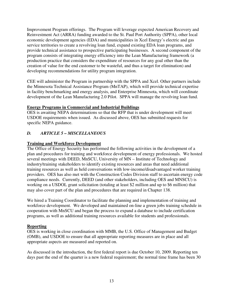Improvement Program offerings. The Program will leverage expected American Recovery and Reinvestment Act (ARRA) funding awarded to the St. Paul Port Authority (SPPA), other local economic development agencies (EDA) and municipalities in Xcel Energy's electric and gas service territories to create a revolving loan fund, expand existing EDA loan programs, and provide technical assistance to prospective participating businesses. A second component of the program consists of integrating energy efficiency into the Lean Manufacturing framework (a production practice that considers the expenditure of resources for any goal other than the creation of value for the end customer to be wasteful, and thus a target for elimination) and developing recommendations for utility program integration.

CEE will administer the Program in partnership with the SPPA and Xcel. Other partners include the Minnesota Technical Assistance Program (MnTAP), which will provide technical expertise in facility benchmarking and energy analysis, and Enterprise Minnesota, which will coordinate development of the Lean Manufacturing 2.0 Pilot. SPPA will manage the revolving loan fund.

## **Energy Programs in Commercial and Industrial Buildings**

OES is awaiting NEPA determinations so that the RFP that is under development will meet USDOE requirements when issued. As discussed above, OES has submitted requests for specific NEPA guidance.

## *D. ARTICLE 5 – MISCELLANEOUS*

## **Training and Workforce Development**

The Office of Energy Security has performed the following activities in the development of a plan and procedures for training and workforce development of energy professionals. We hosted several meetings with DEED, MnSCU, University of MN – Institute of Technology and industry/training stakeholders to identify existing resources and areas that need additional training resources as well as held conversations with low-income/disadvantaged worker training providers. OES has also met with the Construction Codes Division staff to ascertain energy code compliance needs. Currently, DEED (and other stakeholders, including OES and MNSCU) is working on a USDOL grant solicitation (totaling at least \$2 million and up to \$6 million) that may also cover part of the plan and procedures that are required in Chapter 138.

We hired a Training Coordinator to facilitate the planning and implementation of training and workforce development. We developed and maintained on-line a green jobs training schedule in cooperation with MnSCU and began the process to expand a database to include certification programs, as well as additional training resources available for students and professionals.

## **Reporting**

OES is working in close coordination with MMB, the U.S. Office of Management and Budget (OMB), and USDOE to ensure that all appropriate reporting measures are in place and all appropriate aspects are measured and reported on.

As discussed in the introduction, the first federal report is due October 10, 2009. Reporting ten days past the end of the quarter is a new federal requirement; the normal time frame has been 30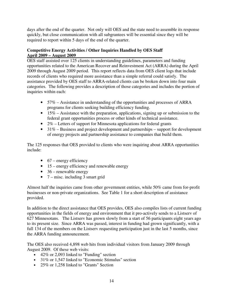days after the end of the quarter. Not only will OES and the state need to assemble its response quickly, but close communication with all subgrantees will be essential since they will be required to report within 5 days of the end of the quarter.

## **Competitive Energy Activities / Other Inquiries Handled by OES Staff April 2009 – August 2009**

OES staff assisted over 125 clients in understanding guidelines, parameters and funding opportunities related to the American Recover and Reinvestment Act (ARRA) during the April 2009 through August 2009 period. This report reflects data from OES client logs that include records of clients who required more assistance than a simple referral could satisfy. The assistance provided by OES staff to ARRA-related clients can be broken down into four main categories. The following provides a description of those categories and includes the portion of inquiries within each:

- 57% Assistance in understanding of the opportunities and processes of ARRA programs for clients seeking building efficiency funding.
- $\bullet$  15% Assistance with the preparation, applications, signing up or submission to the federal grant opportunities process or other kinds of technical assistance.
- 2% Letters of support for Minnesota applications for federal grants
- $31\%$  Business and project development and partnerships support for development of energy projects and partnership assistance to companies that build them.

The 125 responses that OES provided to clients who were inquiring about ARRA opportunities include:

- $\bullet$  67 energy efficiency
- 15 energy efficiency and renewable energy
- $\bullet$  36 renewable energy
- $7 -$  misc. including 3 smart grid

Almost half the inquiries came from other government entities, while 50% came from for-profit businesses or non-private organizations. See Table 1 for a short description of assistance provided.

In addition to the direct assistance that OES provides, OES also compiles lists of current funding opportunities in the fields of energy and environment that it pro-actively sends to a Listserv of 627 Minnesotans. The Listserv has grown slowly from a start of 56 participants eight years ago to its present size. Since ARRA was passed, interest in funding had grown significantly, with a full 134 of the members on the Listserv requesting participation just in the last 5 months, since the ARRA funding announcement.

The OES also received 4,898 web hits from individual visitors from January 2009 through August 2009. Of these web visits:

- 42% or 2,093 linked to "Funding" section
- 31% or 1,547 linked to "Economic Stimulus" section
- 25% or 1,258 linked to "Grants" Section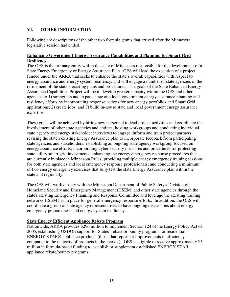## **VI. OTHER INFORMATION**

Following are descriptions of the other two formula grants that arrived after the Minnesota legislative session had ended.

## **Enhancing Government Energy Assurance Capabilities and Planning for Smart Grid Resiliency**

The OES is the primary entity within the state of Minnesota responsible for the development of a State Energy Emergency or Energy Assurance Plan. OES will lead the execution of a project funded under the ARRA that seeks to enhance the state's overall capabilities with respect to energy assurance and energy system resiliency, and will engage a number of state agencies in the refinement of the state's existing plans and procedures. The goals of the State Enhanced Energy Assurance Capabilities Project will be to develop greater capacity within the OES and other agencies to 1) strengthen and expand state and local government energy assurance planning and resiliency efforts by incorporating response actions for new energy portfolios and Smart Grid applications; 2) create jobs, and 3) build in-house state and local government energy assurance expertise.

These goals will be achieved by hiring new personnel to lead project activities and coordinate the involvement of other state agencies and entities; hosting workgroups and conducting individual state agency and energy stakeholder interviews to engage, inform and train project partners; revising the state's existing Energy Assurance plan to incorporate feedback from participating state agencies and stakeholders; establishing an ongoing state agency workgroup focused on energy assurance efforts; incorporating cyber security measures and procedures for protecting state utility smart grid investments; enhancing the energy emergency response procedures that are currently in place in Minnesota Rules; providing multiple energy emergency training sessions for both state agencies and local emergency response professionals; and conducting a minimum of two energy emergency exercises that fully test the state Energy Assurance plan within the state and regionally.

The OES will work closely with the Minnesota Department of Public Safety's Division of Homeland Security and Emergency Management (HSEM) and other state agencies through the state's existing Emergency Planning and Response Committee and leverage the existing training networks HSEM has in place for general emergency response efforts. In addition, the OES will coordinate a group of state agency representatives to have ongoing discussions about energy emergency preparedness and energy system resiliency.

## **State Energy Efficient Appliance Rebate Program**

Nationwide, ARRA provides \$296 million to implement Section 124 of the Energy Policy Act of 2005, establishing USDOE support for States' rebate or bounty programs for residential ENERGY STAR® appliance products (those that represent improvements in efficiency compared to the majority of products in the market). OES is eligible to receive approximately \$5 million in formula-based funding to establish or supplement established ENERGY STAR appliance rebate/bounty programs.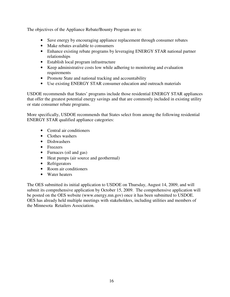The objectives of the Appliance Rebate/Bounty Program are to:

- Save energy by encouraging appliance replacement through consumer rebates
- Make rebates available to consumers
- Enhance existing rebate programs by leveraging ENERGY STAR national partner relationships
- Establish local program infrastructure
- Keep administrative costs low while adhering to monitoring and evaluation requirements
- Promote State and national tracking and accountability
- Use existing ENERGY STAR consumer education and outreach materials

USDOE recommends that States' programs include those residential ENERGY STAR appliances that offer the greatest potential energy savings and that are commonly included in existing utility or state consumer rebate programs.

More specifically, USDOE recommends that States select from among the following residential ENERGY STAR qualified appliance categories:

- Central air conditioners
- Clothes washers
- Dishwashers
- Freezers
- Furnaces (oil and gas)
- Heat pumps (air source and geothermal)
- Refrigerators
- Room air conditioners
- Water heaters

The OES submitted its initial application to USDOE on Thursday, August 14, 2009, and will submit its comprehensive application by October 15, 2009. The comprehensive application will be posted on the OES website (www.energy.mn.gov) once it has been submitted to USDOE. OES has already held multiple meetings with stakeholders, including utilities and members of the Minnesota Retailers Association.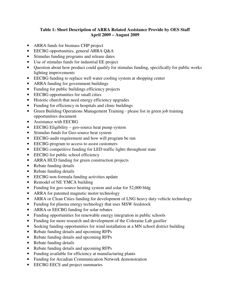## **Table 1: Short Description of ARRA Related Assistance Provide by OES Staff April 2009 – August 2009**

- ARRA funds for biomass CHP project
- EECBG opportunities, general ARRA Q&A
- Stimulus funding programs and release dates
- Use of stimulus funds for industrial EE project
- Question about how product could qualify for stimulus funding, specifically for public works lighting improvements
- EECBG funding to replace well water cooling system at shopping center
- ARRA funding for government buildings
- Funding for public buildings efficiency projects
- EECBG opportunities for small cities
- Historic church that need energy efficiency upgrades
- Funding for efficiency in hospitals and clinic buildings
- Green Building Operations Management Training please list in green job training opportunities document
- Assistance with EECBG
- EECBG Eligibility geo-source heat pump system
- Stimulus funds for Geo-source heat system
- EECBG-audit requirement and how will program be run
- EECBG-program to access to assist customers
- EECBG competitive funding for LED traffic lights throughout state
- EECBG for public school efficiency
- ARRA HUD funding for green construction projects
- Rebate funding details
- Rebate funding details
- EECBG non-formula funding activities update
- Remodel of NE YMCA building
- Funding for geo-source heating system and solar for 52,000 bldg
- ARRA for patented magnetic motor technology
- ARRA or Clean Cities funding for development of LNG heavy duty vehicle technology
- Funding for plasma energy technology that uses MSW feedstock
- ARRA or EECBG funding for solar rebates
- Funding opportunities for renewable energy integration in public schools
- Funding for more research and development of the Coleraine Lab gasifier
- Seeking funding opportunities for wind installation at a MN school district building
- Rebate funding details and upcoming RFPs
- Rebate funding details and upcoming RFPs
- Rebate funding details
- Rebate funding details and upcoming RFPs
- Funding available for efficiency at manufacturing plants
- Funding for Arcadian Communication Network demonstration
- EECBG EECS and project summaries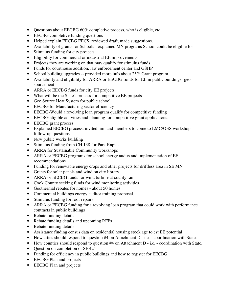- Questions about EECBG 60% completive process, who is eligible, etc.
- EECBG completive funding questions
- Helped explain EECBG EECS, reviewed draft, made suggestions.
- Availability of grants for Schools explained MN programs School could be eligible for
- Stimulus funding for city projects
- Eligibility for commercial or industrial EE improvements
- Projects they are working on that may qualify for stimulus funds
- Funds for courthouse addition, law enforcement center and GSHP
- School building upgrades -- provided more info about 25% Grant program
- Availability and eligibility for ARRA or EECBG funds for EE in public buildings- geo source heat
- ARRA or EECBG funds for city EE projects
- What will be the State's process for competitive EE projects
- Geo Source Heat System for public school
- EECBG for Manufacturing sector efficiency
- EECBG-Would a revolving loan program qualify for competitive funding
- EECBG eligible activities and planning for competitive grant applications.
- EECBG grant process
- Explained EECBG process, invited him and members to come to LMC/OES workshop follow-up questions.
- New public works building
- Stimulus funding from CH 138 for Park Rapids
- ARRA for Sustainable Community workshops
- ARRA or EECBG programs for school energy audits and implementation of EE recommendations
- Funding for renewable energy crops and other projects for driftless area in SE MN
- Grants for solar panels and wind on city library
- ARRA or EECBG funds for wind turbine at county fair
- Cook County seeking funds for wind monitoring activities
- Geothermal rebates for homes about 50 homes
- Commercial buildings energy auditor training proposal.
- Stimulus funding for roof repairs
- ARRA or EECBG funding for a revolving loan program that could work with performance contracts in public buildings
- Rebate funding details
- Rebate funding details and upcoming RFPs
- Rebate funding details
- Assistance finding census data on residential housing stock age to est EE potential
- How cities should respond to question #4 on Attachment D i.e. coordination with State.
- How counties should respond to question #4 on Attachment D i.e. coordination with State.
- Question on completion of SF 424
- Funding for efficiency in public buildings and how to register for EECBG
- EECBG Plan and projects
- EECBG Plan and projects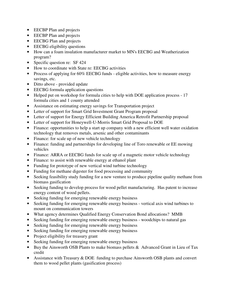- EECBP Plan and projects
- EECBP Plan and projects
- EECBG Plan and projects
- EECBG eligibility questions
- How can a foam insulation manufacturer market to MN's EECBG and Weatherization program?
- Specific question re: SF 424
- How to coordinate with State re: EECBG activities
- Process of applying for 60% EECBG funds eligible activities, how to measure energy savings, etc.
- Ditto above provided update
- EECBG formula application questions
- Helped put on workshop for formula cities to help with DOE application process 17 formula cities and 1 county attended
- Assistance on estimating energy savings for Transportation project
- Letter of support for Smart Grid Investment Grant Program proposal
- Letter of support for Energy Efficient Building America Retrofit Partnership proposal
- Letter of support for Honeywell-U-Morris Smart Grid Proposal to DOE
- Finance: opportunities to help a start up company with a new efficient well water oxidation technology that removes metals, arsenic and other contaminants
- Finance: for scale up of new vehicle technology
- Finance: funding and partnerships for developing line of Toro renewable or EE mowing vehicles
- Finance: ARRA or EECBG funds for scale up of a magnetic motor vehicle technology
- Finance: to assist with renewable energy at ethanol plant
- Funding for prototype of new vertical wind turbine technology
- Funding for methane digester for food processing and community
- Seeking feasibility study funding for a new venture to produce pipeline quality methane from biomass gasification
- Seeking funding to develop process for wood pellet manufacturing. Has patent to increase energy content of wood pellets.
- Seeking funding for emerging renewable energy business
- Seeking funding for emerging renewable energy business vertical axis wind turbines to mount on communication towers
- What agency determines Qualified Energy Conservation Bond allocations? MMB
- Seeking funding for emerging renewable energy business woodchips to natural gas
- Seeking funding for emerging renewable energy business
- Seeking funding for emerging renewable energy business
- Project eligibility for treasury grant
- Seeking funding for emerging renewable energy business
- Buy the Ainsworth OSB Plants to make biomass pellets & Advanced Grant in Lieu of Tax credit
- Assistance with Treasury & DOE funding to purchase Ainsworth OSB plants and convert them to wood pellet plants (gasification process)